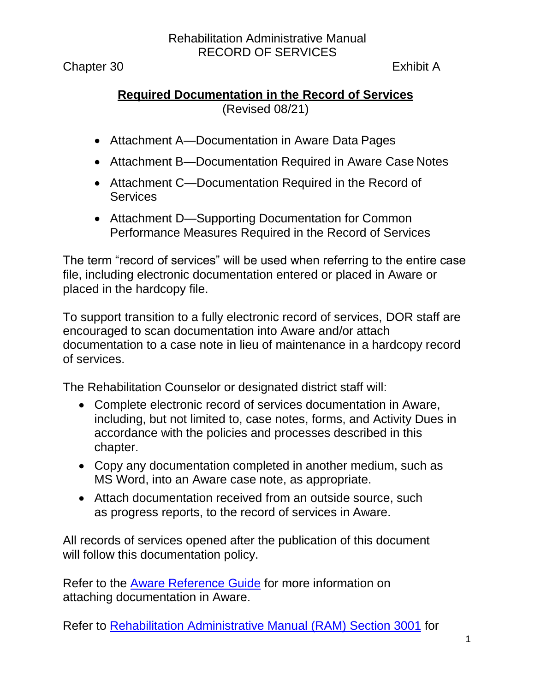Chapter 30 Exhibit A

### **Required Documentation in the Record of Services** (Revised 08/21)

- [Attachment A—Documentation in Aware Data](#page-1-0) Pages
- [Attachment B—Documentation Required in Aware Case](#page-3-0) Notes
- [Attachment C—Documentation Required in the Record of](#page-3-0) **[Services](#page-3-0)**
- [Attachment D—Supporting Documentation for Common](#page-8-0)  [Performance Measures Required in the](#page-8-0) Record of [Services](#page-8-0)

The term "record of services" will be used when referring to the entire case file, including electronic documentation entered or placed in Aware or placed in the hardcopy file.

To support transition to a fully electronic record of services, DOR staff are encouraged to scan documentation into Aware and/or attach documentation to a case note in lieu of maintenance in a hardcopy record of services.

The Rehabilitation Counselor or designated district staff will:

- Complete electronic record of services documentation in Aware, including, but not limited to, case notes, forms, and Activity Dues in accordance with the policies and processes described in this chapter.
- Copy any documentation completed in another medium, such as MS Word, into an Aware case note, as appropriate.
- Attach documentation received from an outside source, such as progress reports, to the record of services in Aware.

All records of services opened after the publication of this document will follow this documentation policy.

Refer to the [Aware Reference Guide](https://indor/division/itsd/aware) for more information on attaching documentation in Aware.

Refer to [Rehabilitation Administrative Manual \(RAM\) Section 3001](http://indor/ram/ram30/ram-chapter-30-sections-3000-3005) for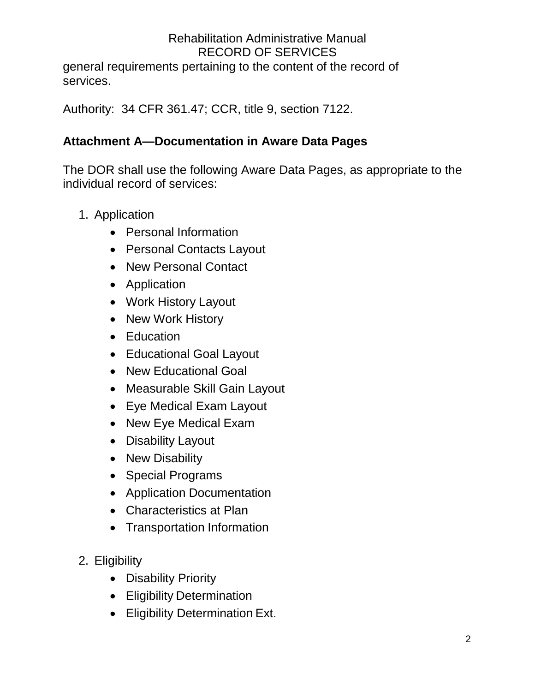general requirements pertaining to the content of the record of services.

Authority: 34 CFR 361.47; CCR, title 9, section 7122.

## <span id="page-1-0"></span>**Attachment A—Documentation in Aware Data Pages**

The DOR shall use the following Aware Data Pages, as appropriate to the individual record of services:

- 1. Application
	- Personal Information
	- Personal Contacts Layout
	- New Personal Contact
	- Application
	- Work History Layout
	- New Work History
	- Education
	- Educational Goal Layout
	- New Educational Goal
	- Measurable Skill Gain Layout
	- Eye Medical Exam Layout
	- New Eye Medical Exam
	- Disability Layout
	- New Disability
	- Special Programs
	- Application Documentation
	- Characteristics at Plan
	- Transportation Information
- 2. Eligibility
	- Disability Priority
	- Eligibility Determination
	- Eligibility Determination Ext.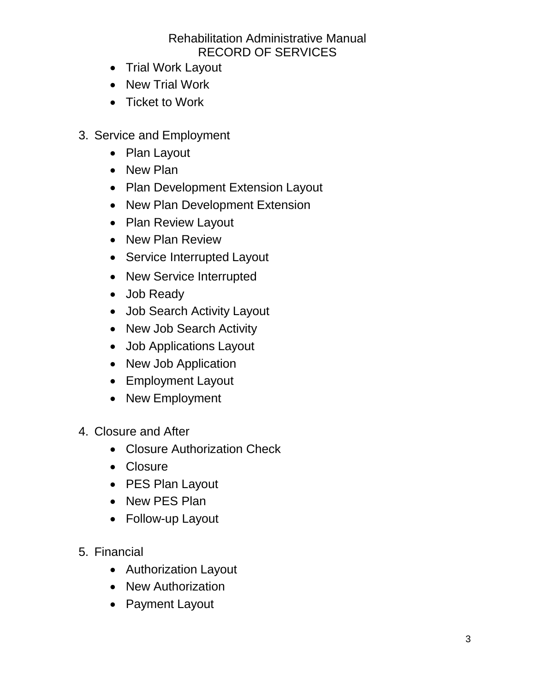- Trial Work Layout
- New Trial Work
- Ticket to Work
- 3. Service and Employment
	- Plan Layout
	- New Plan
	- Plan Development Extension Layout
	- New Plan Development Extension
	- Plan Review Layout
	- New Plan Review
	- Service Interrupted Layout
	- New Service Interrupted
	- Job Ready
	- Job Search Activity Layout
	- New Job Search Activity
	- Job Applications Layout
	- New Job Application
	- Employment Layout
	- New Employment
- 4. Closure and After
	- Closure Authorization Check
	- Closure
	- PES Plan Layout
	- New PES Plan
	- Follow-up Layout
- 5. Financial
	- Authorization Layout
	- New Authorization
	- Payment Layout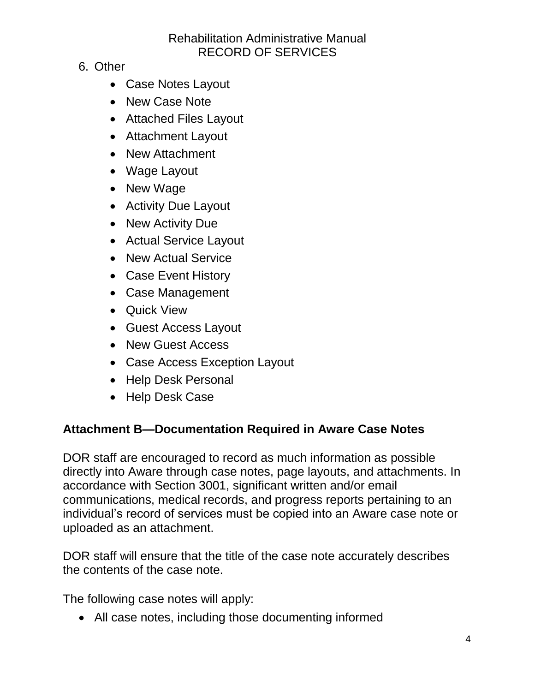- 6. Other
	- Case Notes Layout
	- New Case Note
	- Attached Files Layout
	- Attachment Layout
	- New Attachment
	- Wage Layout
	- New Wage
	- Activity Due Layout
	- New Activity Due
	- Actual Service Layout
	- New Actual Service
	- Case Event History
	- Case Management
	- Quick View
	- Guest Access Layout
	- New Guest Access
	- Case Access Exception Layout
	- Help Desk Personal
	- Help Desk Case

## <span id="page-3-0"></span>**Attachment B—Documentation Required in Aware Case Notes**

DOR staff are encouraged to record as much information as possible directly into Aware through case notes, page layouts, and attachments. In accordance with Section 3001, significant written and/or email communications, medical records, and progress reports pertaining to an individual's record of services must be copied into an Aware case note or uploaded as an attachment.

DOR staff will ensure that the title of the case note accurately describes the contents of the case note.

The following case notes will apply:

• All case notes, including those documenting informed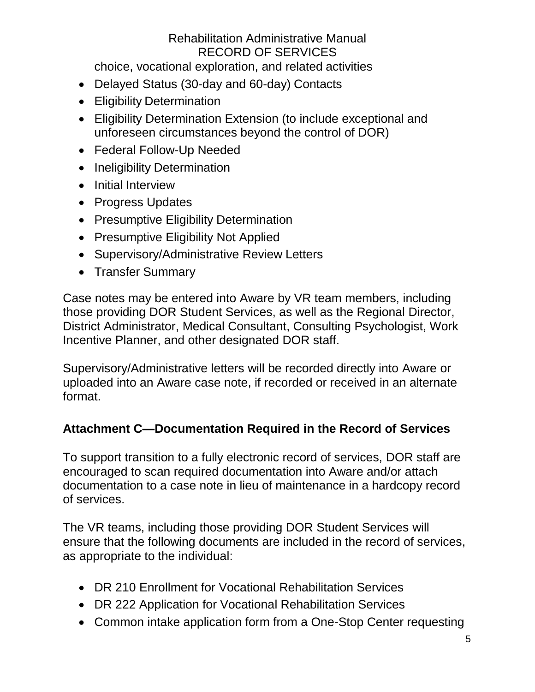choice, vocational exploration, and related activities

- Delayed Status (30-day and 60-day) Contacts
- Eligibility Determination
- Eligibility Determination Extension (to include exceptional and unforeseen circumstances beyond the control of DOR)
- Federal Follow-Up Needed
- Ineligibility Determination
- Initial Interview
- Progress Updates
- Presumptive Eligibility Determination
- Presumptive Eligibility Not Applied
- Supervisory/Administrative Review Letters
- Transfer Summary

Case notes may be entered into Aware by VR team members, including those providing DOR Student Services, as well as the Regional Director, District Administrator, Medical Consultant, Consulting Psychologist, Work Incentive Planner, and other designated DOR staff.

Supervisory/Administrative letters will be recorded directly into Aware or uploaded into an Aware case note, if recorded or received in an alternate format.

## **Attachment C—Documentation Required in the Record of Services**

To support transition to a fully electronic record of services, DOR staff are encouraged to scan required documentation into Aware and/or attach documentation to a case note in lieu of maintenance in a hardcopy record of services.

The VR teams, including those providing DOR Student Services will ensure that the following documents are included in the record of services, as appropriate to the individual:

- DR 210 Enrollment for Vocational Rehabilitation Services
- DR 222 Application for Vocational Rehabilitation Services
- Common intake application form from a One-Stop Center requesting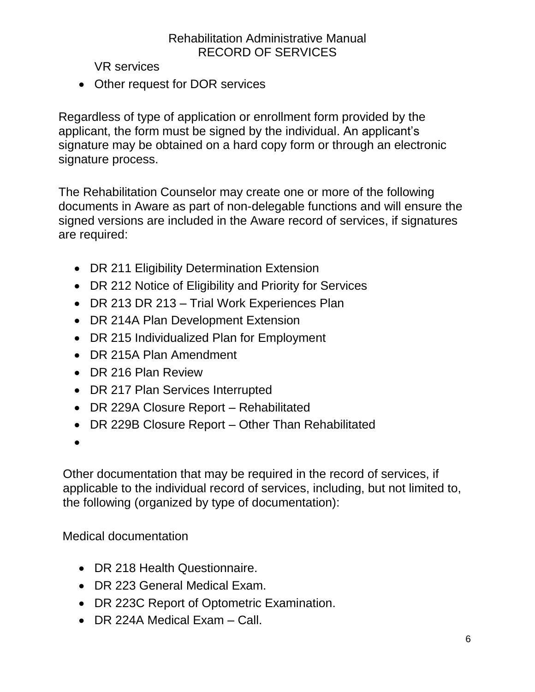VR services

• Other request for DOR services

Regardless of type of application or enrollment form provided by the applicant, the form must be signed by the individual. An applicant's signature may be obtained on a hard copy form or through an electronic signature process.

The Rehabilitation Counselor may create one or more of the following documents in Aware as part of non-delegable functions and will ensure the signed versions are included in the Aware record of services, if signatures are required:

- DR 211 Eligibility Determination Extension
- DR 212 Notice of Eligibility and Priority for Services
- DR 213 DR 213 Trial Work Experiences Plan
- DR 214A Plan Development Extension
- DR 215 Individualized Plan for Employment
- DR 215A Plan Amendment
- DR 216 Plan Review
- DR 217 Plan Services Interrupted
- DR 229A Closure Report Rehabilitated
- DR 229B Closure Report Other Than Rehabilitated
- •

Other documentation that may be required in the record of services, if applicable to the individual record of services, including, but not limited to, the following (organized by type of documentation):

Medical documentation

- DR 218 Health Questionnaire.
- DR 223 General Medical Exam.
- DR 223C Report of Optometric Examination.
- DR 224A Medical Exam Call.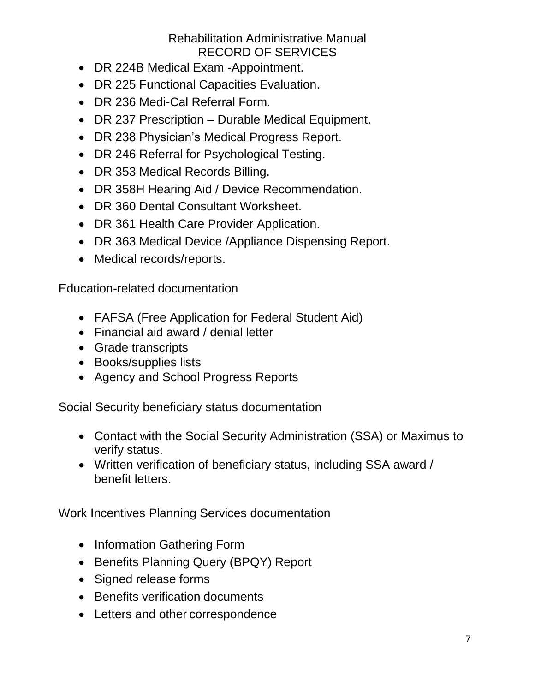- DR 224B Medical Exam -Appointment.
- DR 225 Functional Capacities Evaluation.
- DR 236 Medi-Cal Referral Form.
- DR 237 Prescription Durable Medical Equipment.
- DR 238 Physician's Medical Progress Report.
- DR 246 Referral for Psychological Testing.
- DR 353 Medical Records Billing.
- DR 358H Hearing Aid / Device Recommendation.
- DR 360 Dental Consultant Worksheet.
- DR 361 Health Care Provider Application.
- DR 363 Medical Device /Appliance Dispensing Report.
- Medical records/reports.

Education-related documentation

- FAFSA (Free Application for Federal Student Aid)
- Financial aid award / denial letter
- Grade transcripts
- Books/supplies lists
- Agency and School Progress Reports

Social Security beneficiary status documentation

- Contact with the Social Security Administration (SSA) or Maximus to verify status.
- Written verification of beneficiary status, including SSA award / benefit letters.

Work Incentives Planning Services documentation

- Information Gathering Form
- Benefits Planning Query (BPQY) Report
- Signed release forms
- Benefits verification documents
- Letters and other correspondence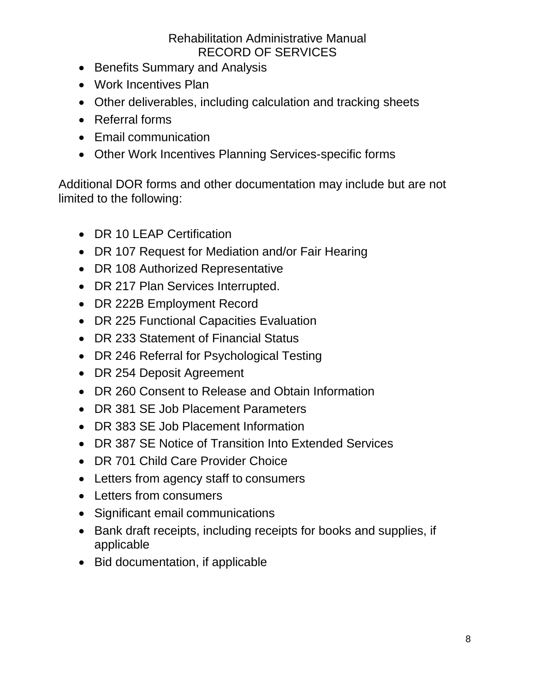- Benefits Summary and Analysis
- Work Incentives Plan
- Other deliverables, including calculation and tracking sheets
- Referral forms
- Email communication
- Other Work Incentives Planning Services-specific forms

Additional DOR forms and other documentation may include but are not limited to the following:

- DR 10 LEAP Certification
- DR 107 Request for Mediation and/or Fair Hearing
- DR 108 Authorized Representative
- DR 217 Plan Services Interrupted.
- DR 222B Employment Record
- DR 225 Functional Capacities Evaluation
- DR 233 Statement of Financial Status
- DR 246 Referral for Psychological Testing
- DR 254 Deposit Agreement
- DR 260 Consent to Release and Obtain Information
- DR 381 SE Job Placement Parameters
- DR 383 SE Job Placement Information
- DR 387 SE Notice of Transition Into Extended Services
- DR 701 Child Care Provider Choice
- Letters from agency staff to consumers
- Letters from consumers
- Significant email communications
- Bank draft receipts, including receipts for books and supplies, if applicable
- Bid documentation, if applicable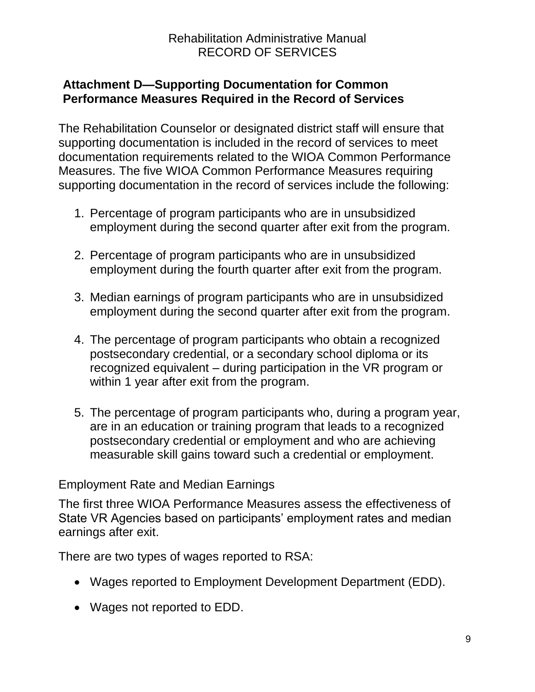#### <span id="page-8-0"></span>**Attachment D—Supporting Documentation for Common Performance Measures Required in the Record of Services**

The Rehabilitation Counselor or designated district staff will ensure that supporting documentation is included in the record of services to meet documentation requirements related to the WIOA Common Performance Measures. The five WIOA Common Performance Measures requiring supporting documentation in the record of services include the following:

- 1. Percentage of program participants who are in unsubsidized employment during the second quarter after exit from the program.
- 2. Percentage of program participants who are in unsubsidized employment during the fourth quarter after exit from the program.
- 3. Median earnings of program participants who are in unsubsidized employment during the second quarter after exit from the program.
- 4. The percentage of program participants who obtain a recognized postsecondary credential, or a secondary school diploma or its recognized equivalent – during participation in the VR program or within 1 year after exit from the program.
- 5. The percentage of program participants who, during a program year, are in an education or training program that leads to a recognized postsecondary credential or employment and who are achieving measurable skill gains toward such a credential or employment.

#### Employment Rate and Median Earnings

The first three WIOA Performance Measures assess the effectiveness of State VR Agencies based on participants' employment rates and median earnings after exit.

There are two types of wages reported to RSA:

- Wages reported to Employment Development Department (EDD).
- Wages not reported to EDD.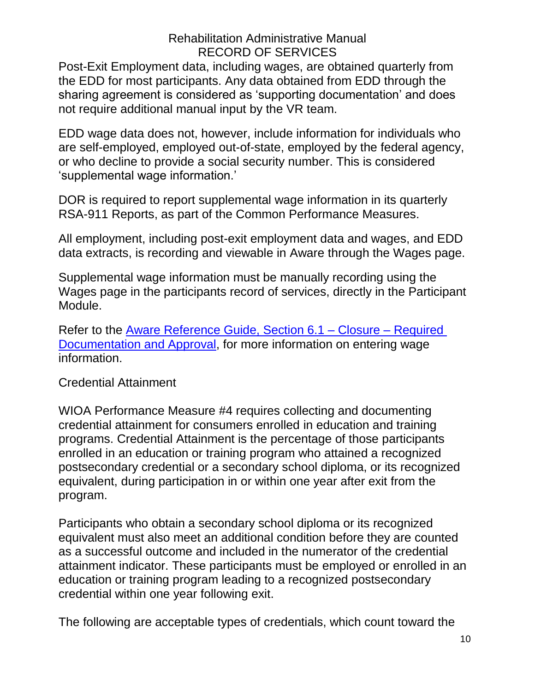Post-Exit Employment data, including wages, are obtained quarterly from the EDD for most participants. Any data obtained from EDD through the sharing agreement is considered as 'supporting documentation' and does not require additional manual input by the VR team.

EDD wage data does not, however, include information for individuals who are self-employed, employed out-of-state, employed by the federal agency, or who decline to provide a social security number. This is considered 'supplemental wage information.'

DOR is required to report supplemental wage information in its quarterly RSA-911 Reports, as part of the Common Performance Measures.

All employment, including post-exit employment data and wages, and EDD data extracts, is recording and viewable in Aware through the Wages page.

Supplemental wage information must be manually recording using the Wages page in the participants record of services, directly in the Participant Module.

Refer to the [Aware Reference Guide, Section 6.1 –](https://indor/division/itsd/aware) Closure – Required [Documentation and Approval,](https://indor/division/itsd/aware) for more information on entering wage information.

#### Credential Attainment

WIOA Performance Measure #4 requires collecting and documenting credential attainment for consumers enrolled in education and training programs. Credential Attainment is the percentage of those participants enrolled in an education or training program who attained a recognized postsecondary credential or a secondary school diploma, or its recognized equivalent, during participation in or within one year after exit from the program.

Participants who obtain a secondary school diploma or its recognized equivalent must also meet an additional condition before they are counted as a successful outcome and included in the numerator of the credential attainment indicator. These participants must be employed or enrolled in an education or training program leading to a recognized postsecondary credential within one year following exit.

The following are acceptable types of credentials, which count toward the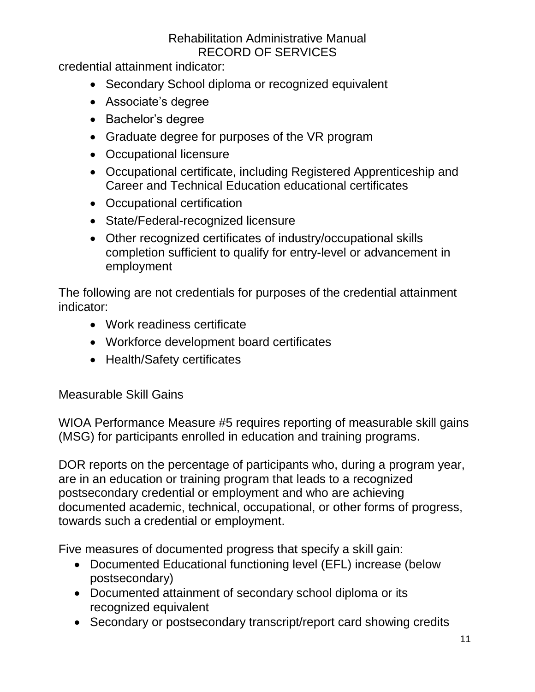credential attainment indicator:

- Secondary School diploma or recognized equivalent
- Associate's degree
- Bachelor's degree
- Graduate degree for purposes of the VR program
- Occupational licensure
- Occupational certificate, including Registered Apprenticeship and Career and Technical Education educational certificates
- Occupational certification
- State/Federal-recognized licensure
- Other recognized certificates of industry/occupational skills completion sufficient to qualify for entry-level or advancement in employment

The following are not credentials for purposes of the credential attainment indicator:

- Work readiness certificate
- Workforce development board certificates
- Health/Safety certificates

### Measurable Skill Gains

WIOA Performance Measure #5 requires reporting of measurable skill gains (MSG) for participants enrolled in education and training programs.

DOR reports on the percentage of participants who, during a program year, are in an education or training program that leads to a recognized postsecondary credential or employment and who are achieving documented academic, technical, occupational, or other forms of progress, towards such a credential or employment.

Five measures of documented progress that specify a skill gain:

- Documented Educational functioning level (EFL) increase (below postsecondary)
- Documented attainment of secondary school diploma or its recognized equivalent
- Secondary or postsecondary transcript/report card showing credits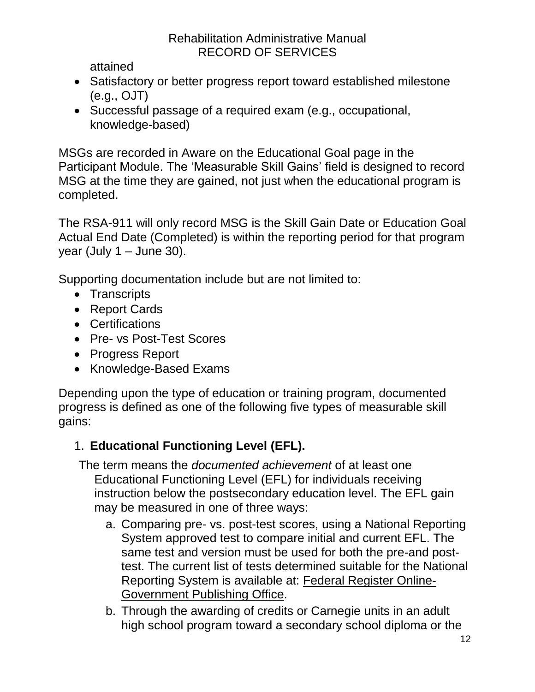attained

- Satisfactory or better progress report toward established milestone (e.g., OJT)
- Successful passage of a required exam (e.g., occupational, knowledge-based)

MSGs are recorded in Aware on the Educational Goal page in the Participant Module. The 'Measurable Skill Gains' field is designed to record MSG at the time they are gained, not just when the educational program is completed.

The RSA-911 will only record MSG is the Skill Gain Date or Education Goal Actual End Date (Completed) is within the reporting period for that program year (July  $1 -$  June 30).

Supporting documentation include but are not limited to:

- Transcripts
- Report Cards
- Certifications
- Pre- vs Post-Test Scores
- Progress Report
- Knowledge-Based Exams

Depending upon the type of education or training program, documented progress is defined as one of the following five types of measurable skill gains:

## 1. **Educational Functioning Level (EFL).**

The term means the *documented achievement* of at least one Educational Functioning Level (EFL) for individuals receiving instruction below the postsecondary education level. The EFL gain may be measured in one of three ways:

- a. Comparing pre- vs. post-test scores, using a National Reporting System approved test to compare initial and current EFL. The same test and version must be used for both the pre-and posttest. The current list of tests determined suitable for the National Reporting System is available at: [Federal Register Online-](https://www.gpo.gov/fdsys/pkg/FR-2016-12-13/html/2016-29899.htm)[Government Publishing](https://www.gpo.gov/fdsys/pkg/FR-2016-12-13/html/2016-29899.htm) Office.
- b. Through the awarding of credits or Carnegie units in an adult high school program toward a secondary school diploma or the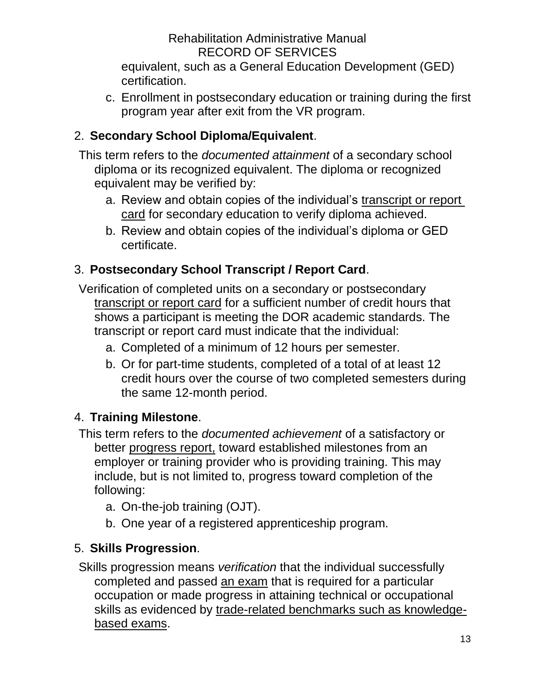equivalent, such as a General Education Development (GED) certification.

c. Enrollment in postsecondary education or training during the first program year after exit from the VR program.

## 2. **Secondary School Diploma/Equivalent**.

This term refers to the *documented attainment* of a secondary school diploma or its recognized equivalent. The diploma or recognized equivalent may be verified by:

- a. Review and obtain copies of the individual's transcript or report card for secondary education to verify diploma achieved.
- b. Review and obtain copies of the individual's diploma or GED certificate.

# 3. **Postsecondary School Transcript / Report Card**.

Verification of completed units on a secondary or postsecondary transcript or report card for a sufficient number of credit hours that shows a participant is meeting the DOR academic standards. The transcript or report card must indicate that the individual:

- a. Completed of a minimum of 12 hours per semester.
- b. Or for part-time students, completed of a total of at least 12 credit hours over the course of two completed semesters during the same 12-month period.

### 4. **Training Milestone**.

This term refers to the *documented achievement* of a satisfactory or better progress report, toward established milestones from an employer or training provider who is providing training. This may include, but is not limited to, progress toward completion of the following:

- a. On-the-job training (OJT).
- b. One year of a registered apprenticeship program.

## 5. **Skills Progression**.

Skills progression means *verification* that the individual successfully completed and passed an exam that is required for a particular occupation or made progress in attaining technical or occupational skills as evidenced by trade-related benchmarks such as knowledgebased exams.